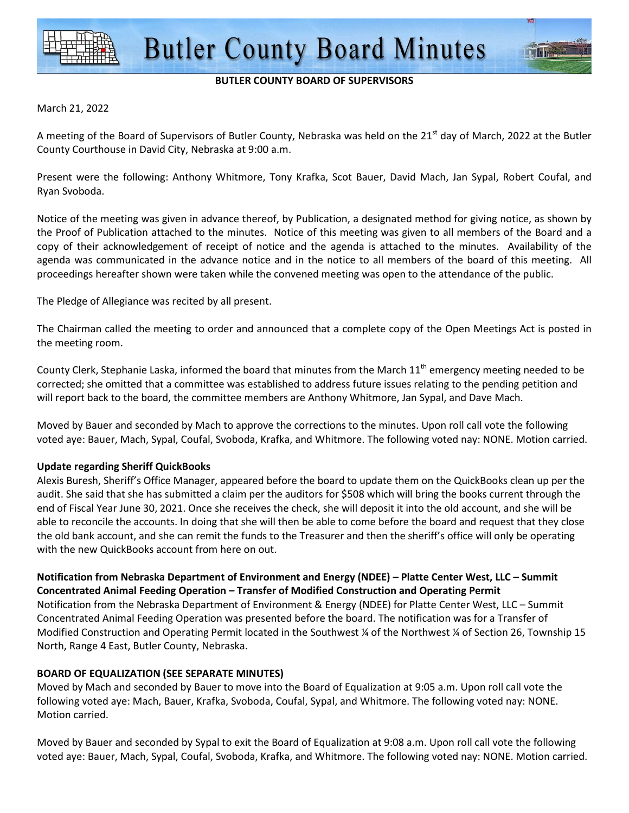

#### **BUTLER COUNTY BOARD OF SUPERVISORS**

#### March 21, 2022

A meeting of the Board of Supervisors of Butler County, Nebraska was held on the 21<sup>st</sup> day of March, 2022 at the Butler County Courthouse in David City, Nebraska at 9:00 a.m.

Present were the following: Anthony Whitmore, Tony Krafka, Scot Bauer, David Mach, Jan Sypal, Robert Coufal, and Ryan Svoboda.

Notice of the meeting was given in advance thereof, by Publication, a designated method for giving notice, as shown by the Proof of Publication attached to the minutes. Notice of this meeting was given to all members of the Board and a copy of their acknowledgement of receipt of notice and the agenda is attached to the minutes. Availability of the agenda was communicated in the advance notice and in the notice to all members of the board of this meeting. All proceedings hereafter shown were taken while the convened meeting was open to the attendance of the public.

The Pledge of Allegiance was recited by all present.

The Chairman called the meeting to order and announced that a complete copy of the Open Meetings Act is posted in the meeting room.

County Clerk, Stephanie Laska, informed the board that minutes from the March  $11<sup>th</sup>$  emergency meeting needed to be corrected; she omitted that a committee was established to address future issues relating to the pending petition and will report back to the board, the committee members are Anthony Whitmore, Jan Sypal, and Dave Mach.

Moved by Bauer and seconded by Mach to approve the corrections to the minutes. Upon roll call vote the following voted aye: Bauer, Mach, Sypal, Coufal, Svoboda, Krafka, and Whitmore. The following voted nay: NONE. Motion carried.

#### **Update regarding Sheriff QuickBooks**

Alexis Buresh, Sheriff's Office Manager, appeared before the board to update them on the QuickBooks clean up per the audit. She said that she has submitted a claim per the auditors for \$508 which will bring the books current through the end of Fiscal Year June 30, 2021. Once she receives the check, she will deposit it into the old account, and she will be able to reconcile the accounts. In doing that she will then be able to come before the board and request that they close the old bank account, and she can remit the funds to the Treasurer and then the sheriff's office will only be operating with the new QuickBooks account from here on out.

**Notification from Nebraska Department of Environment and Energy (NDEE) – Platte Center West, LLC – Summit Concentrated Animal Feeding Operation – Transfer of Modified Construction and Operating Permit**  Notification from the Nebraska Department of Environment & Energy (NDEE) for Platte Center West, LLC – Summit Concentrated Animal Feeding Operation was presented before the board. The notification was for a Transfer of Modified Construction and Operating Permit located in the Southwest ¼ of the Northwest ¼ of Section 26, Township 15 North, Range 4 East, Butler County, Nebraska.

#### **BOARD OF EQUALIZATION (SEE SEPARATE MINUTES)**

Moved by Mach and seconded by Bauer to move into the Board of Equalization at 9:05 a.m. Upon roll call vote the following voted aye: Mach, Bauer, Krafka, Svoboda, Coufal, Sypal, and Whitmore. The following voted nay: NONE. Motion carried.

Moved by Bauer and seconded by Sypal to exit the Board of Equalization at 9:08 a.m. Upon roll call vote the following voted aye: Bauer, Mach, Sypal, Coufal, Svoboda, Krafka, and Whitmore. The following voted nay: NONE. Motion carried.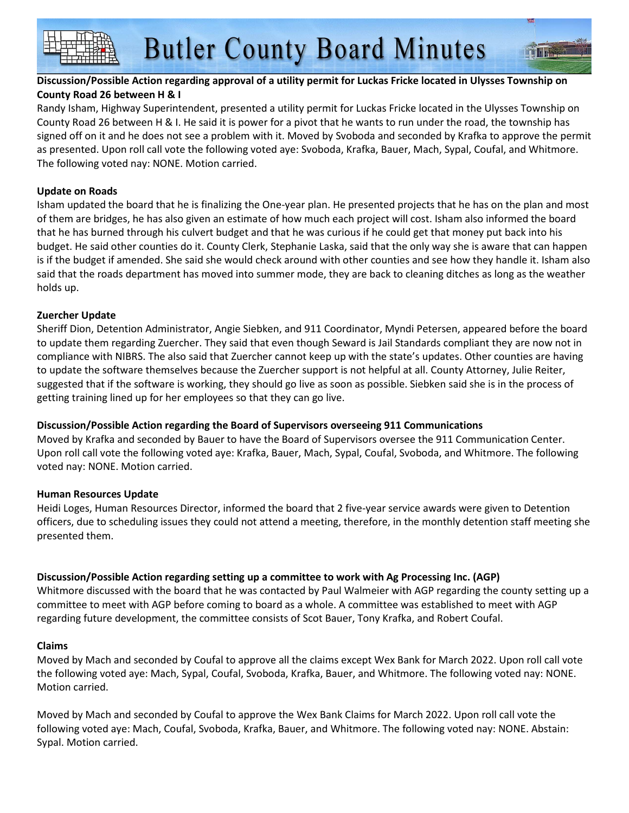#### **Discussion/Possible Action regarding approval of a utility permit for Luckas Fricke located in Ulysses Township on County Road 26 between H & I**

Randy Isham, Highway Superintendent, presented a utility permit for Luckas Fricke located in the Ulysses Township on County Road 26 between H & I. He said it is power for a pivot that he wants to run under the road, the township has signed off on it and he does not see a problem with it. Moved by Svoboda and seconded by Krafka to approve the permit as presented. Upon roll call vote the following voted aye: Svoboda, Krafka, Bauer, Mach, Sypal, Coufal, and Whitmore. The following voted nay: NONE. Motion carried.

#### **Update on Roads**

Isham updated the board that he is finalizing the One-year plan. He presented projects that he has on the plan and most of them are bridges, he has also given an estimate of how much each project will cost. Isham also informed the board that he has burned through his culvert budget and that he was curious if he could get that money put back into his budget. He said other counties do it. County Clerk, Stephanie Laska, said that the only way she is aware that can happen is if the budget if amended. She said she would check around with other counties and see how they handle it. Isham also said that the roads department has moved into summer mode, they are back to cleaning ditches as long as the weather holds up.

#### **Zuercher Update**

Sheriff Dion, Detention Administrator, Angie Siebken, and 911 Coordinator, Myndi Petersen, appeared before the board to update them regarding Zuercher. They said that even though Seward is Jail Standards compliant they are now not in compliance with NIBRS. The also said that Zuercher cannot keep up with the state's updates. Other counties are having to update the software themselves because the Zuercher support is not helpful at all. County Attorney, Julie Reiter, suggested that if the software is working, they should go live as soon as possible. Siebken said she is in the process of getting training lined up for her employees so that they can go live.

### **Discussion/Possible Action regarding the Board of Supervisors overseeing 911 Communications**

Moved by Krafka and seconded by Bauer to have the Board of Supervisors oversee the 911 Communication Center. Upon roll call vote the following voted aye: Krafka, Bauer, Mach, Sypal, Coufal, Svoboda, and Whitmore. The following voted nay: NONE. Motion carried.

#### **Human Resources Update**

Heidi Loges, Human Resources Director, informed the board that 2 five-year service awards were given to Detention officers, due to scheduling issues they could not attend a meeting, therefore, in the monthly detention staff meeting she presented them.

### **Discussion/Possible Action regarding setting up a committee to work with Ag Processing Inc. (AGP)**

Whitmore discussed with the board that he was contacted by Paul Walmeier with AGP regarding the county setting up a committee to meet with AGP before coming to board as a whole. A committee was established to meet with AGP regarding future development, the committee consists of Scot Bauer, Tony Krafka, and Robert Coufal.

#### **Claims**

Moved by Mach and seconded by Coufal to approve all the claims except Wex Bank for March 2022. Upon roll call vote the following voted aye: Mach, Sypal, Coufal, Svoboda, Krafka, Bauer, and Whitmore. The following voted nay: NONE. Motion carried.

Moved by Mach and seconded by Coufal to approve the Wex Bank Claims for March 2022. Upon roll call vote the following voted aye: Mach, Coufal, Svoboda, Krafka, Bauer, and Whitmore. The following voted nay: NONE. Abstain: Sypal. Motion carried.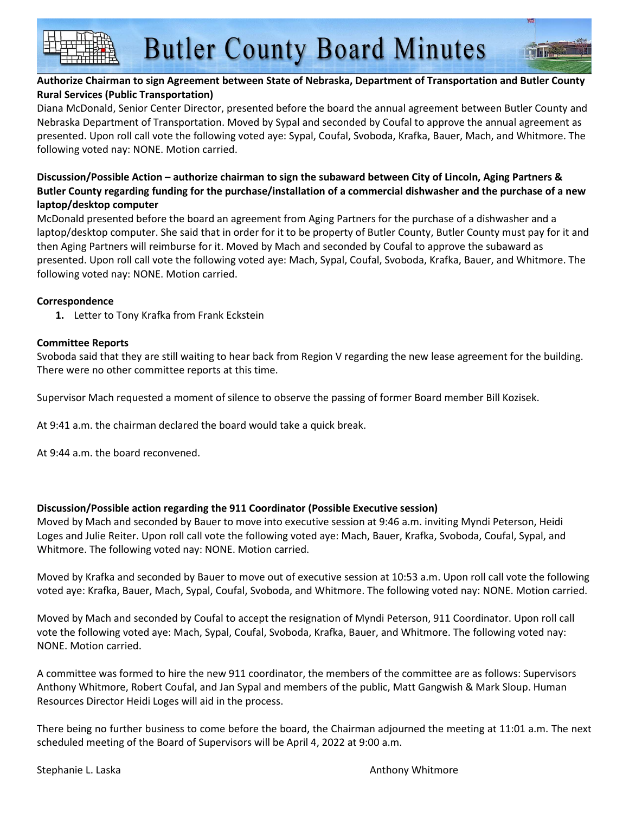#### **Authorize Chairman to sign Agreement between State of Nebraska, Department of Transportation and Butler County Rural Services (Public Transportation)**

Diana McDonald, Senior Center Director, presented before the board the annual agreement between Butler County and Nebraska Department of Transportation. Moved by Sypal and seconded by Coufal to approve the annual agreement as presented. Upon roll call vote the following voted aye: Sypal, Coufal, Svoboda, Krafka, Bauer, Mach, and Whitmore. The following voted nay: NONE. Motion carried.

#### **Discussion/Possible Action – authorize chairman to sign the subaward between City of Lincoln, Aging Partners & Butler County regarding funding for the purchase/installation of a commercial dishwasher and the purchase of a new laptop/desktop computer**

McDonald presented before the board an agreement from Aging Partners for the purchase of a dishwasher and a laptop/desktop computer. She said that in order for it to be property of Butler County, Butler County must pay for it and then Aging Partners will reimburse for it. Moved by Mach and seconded by Coufal to approve the subaward as presented. Upon roll call vote the following voted aye: Mach, Sypal, Coufal, Svoboda, Krafka, Bauer, and Whitmore. The following voted nay: NONE. Motion carried.

#### **Correspondence**

**1.** Letter to Tony Krafka from Frank Eckstein

#### **Committee Reports**

Svoboda said that they are still waiting to hear back from Region V regarding the new lease agreement for the building. There were no other committee reports at this time.

Supervisor Mach requested a moment of silence to observe the passing of former Board member Bill Kozisek.

At 9:41 a.m. the chairman declared the board would take a quick break.

At 9:44 a.m. the board reconvened.

#### **Discussion/Possible action regarding the 911 Coordinator (Possible Executive session)**

Moved by Mach and seconded by Bauer to move into executive session at 9:46 a.m. inviting Myndi Peterson, Heidi Loges and Julie Reiter. Upon roll call vote the following voted aye: Mach, Bauer, Krafka, Svoboda, Coufal, Sypal, and Whitmore. The following voted nay: NONE. Motion carried.

Moved by Krafka and seconded by Bauer to move out of executive session at 10:53 a.m. Upon roll call vote the following voted aye: Krafka, Bauer, Mach, Sypal, Coufal, Svoboda, and Whitmore. The following voted nay: NONE. Motion carried.

Moved by Mach and seconded by Coufal to accept the resignation of Myndi Peterson, 911 Coordinator. Upon roll call vote the following voted aye: Mach, Sypal, Coufal, Svoboda, Krafka, Bauer, and Whitmore. The following voted nay: NONE. Motion carried.

A committee was formed to hire the new 911 coordinator, the members of the committee are as follows: Supervisors Anthony Whitmore, Robert Coufal, and Jan Sypal and members of the public, Matt Gangwish & Mark Sloup. Human Resources Director Heidi Loges will aid in the process.

There being no further business to come before the board, the Chairman adjourned the meeting at 11:01 a.m. The next scheduled meeting of the Board of Supervisors will be April 4, 2022 at 9:00 a.m.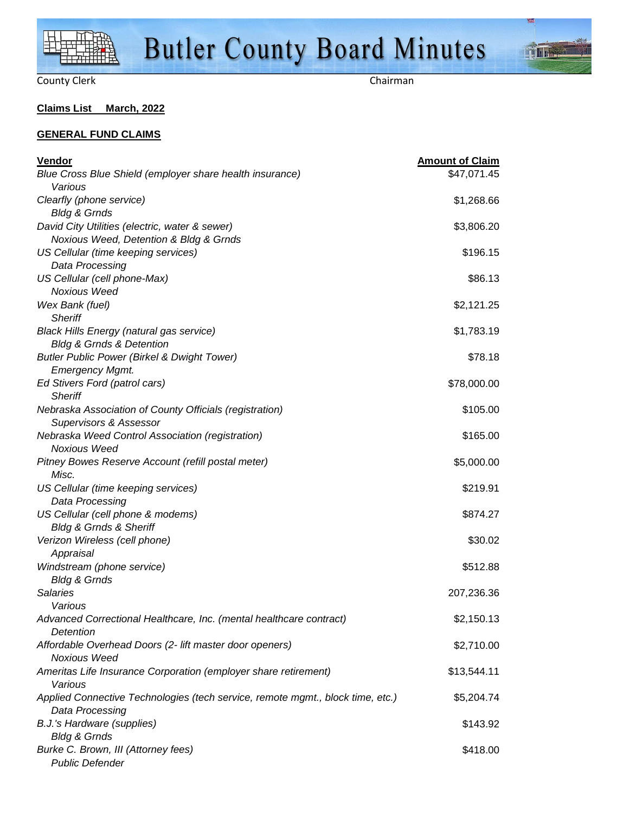

**Time** 

#### **Claims List March, 2022**

#### **GENERAL FUND CLAIMS**

| Vendor                                                                         | <b>Amount of Claim</b> |
|--------------------------------------------------------------------------------|------------------------|
| Blue Cross Blue Shield (employer share health insurance)                       | \$47,071.45            |
| Various                                                                        |                        |
| Clearfly (phone service)                                                       | \$1,268.66             |
| <b>Bldg &amp; Grnds</b>                                                        |                        |
| David City Utilities (electric, water & sewer)                                 | \$3,806.20             |
| Noxious Weed, Detention & Bldg & Grnds                                         |                        |
| US Cellular (time keeping services)                                            | \$196.15               |
| Data Processing                                                                |                        |
| US Cellular (cell phone-Max)                                                   | \$86.13                |
| <b>Noxious Weed</b>                                                            |                        |
| Wex Bank (fuel)<br><b>Sheriff</b>                                              | \$2,121.25             |
| <b>Black Hills Energy (natural gas service)</b>                                | \$1,783.19             |
| <b>Bldg &amp; Grnds &amp; Detention</b>                                        |                        |
| <b>Butler Public Power (Birkel &amp; Dwight Tower)</b>                         | \$78.18                |
| <b>Emergency Mgmt.</b>                                                         |                        |
| Ed Stivers Ford (patrol cars)                                                  | \$78,000.00            |
| <b>Sheriff</b>                                                                 |                        |
| Nebraska Association of County Officials (registration)                        | \$105.00               |
| <b>Supervisors &amp; Assessor</b>                                              |                        |
| Nebraska Weed Control Association (registration)                               | \$165.00               |
| <b>Noxious Weed</b>                                                            |                        |
| Pitney Bowes Reserve Account (refill postal meter)                             | \$5,000.00             |
| Misc.                                                                          |                        |
| US Cellular (time keeping services)                                            | \$219.91               |
| Data Processing                                                                |                        |
| US Cellular (cell phone & modems)                                              | \$874.27               |
| <b>Bldg &amp; Grnds &amp; Sheriff</b>                                          |                        |
| Verizon Wireless (cell phone)                                                  | \$30.02                |
| Appraisal                                                                      |                        |
| Windstream (phone service)                                                     | \$512.88               |
| <b>Bldg &amp; Grnds</b>                                                        |                        |
| <b>Salaries</b><br>Various                                                     | 207,236.36             |
| Advanced Correctional Healthcare, Inc. (mental healthcare contract)            |                        |
| Detention                                                                      | \$2,150.13             |
| Affordable Overhead Doors (2- lift master door openers)                        | \$2,710.00             |
| <b>Noxious Weed</b>                                                            |                        |
| Ameritas Life Insurance Corporation (employer share retirement)                | \$13,544.11            |
| Various                                                                        |                        |
| Applied Connective Technologies (tech service, remote mgmt., block time, etc.) | \$5,204.74             |
| Data Processing                                                                |                        |
| B.J.'s Hardware (supplies)                                                     | \$143.92               |
| <b>Bldg &amp; Grnds</b>                                                        |                        |
| Burke C. Brown, III (Attorney fees)                                            | \$418.00               |
| <b>Public Defender</b>                                                         |                        |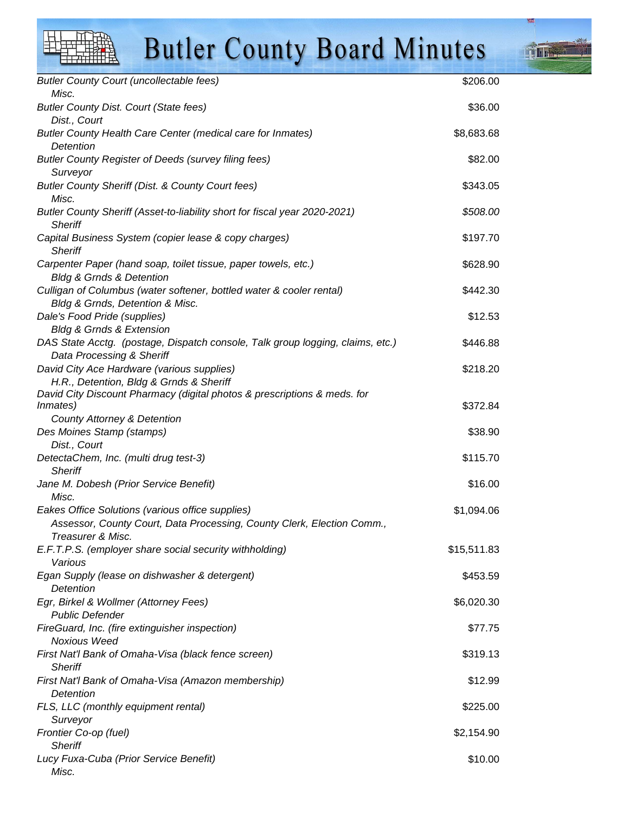**THE R** 

| <b>Butler County Court (uncollectable fees)</b>                                      | \$206.00    |
|--------------------------------------------------------------------------------------|-------------|
| Misc.                                                                                |             |
| <b>Butler County Dist. Court (State fees)</b>                                        | \$36.00     |
| Dist., Court                                                                         |             |
| Butler County Health Care Center (medical care for Inmates)                          | \$8,683.68  |
| Detention                                                                            |             |
| <b>Butler County Register of Deeds (survey filing fees)</b>                          | \$82.00     |
| Surveyor                                                                             |             |
| Butler County Sheriff (Dist. & County Court fees)<br>Misc.                           | \$343.05    |
| Butler County Sheriff (Asset-to-liability short for fiscal year 2020-2021)           | \$508.00    |
| <b>Sheriff</b>                                                                       |             |
| Capital Business System (copier lease & copy charges)                                | \$197.70    |
| <b>Sheriff</b>                                                                       |             |
| Carpenter Paper (hand soap, toilet tissue, paper towels, etc.)                       | \$628.90    |
| <b>Bldg &amp; Grnds &amp; Detention</b>                                              |             |
| Culligan of Columbus (water softener, bottled water & cooler rental)                 | \$442.30    |
| Bldg & Grnds, Detention & Misc.                                                      |             |
| Dale's Food Pride (supplies)                                                         | \$12.53     |
| <b>Bldg &amp; Grnds &amp; Extension</b>                                              |             |
| DAS State Acctg. (postage, Dispatch console, Talk group logging, claims, etc.)       | \$446.88    |
| Data Processing & Sheriff                                                            |             |
| David City Ace Hardware (various supplies)                                           | \$218.20    |
| H.R., Detention, Bldg & Grnds & Sheriff                                              |             |
| David City Discount Pharmacy (digital photos & prescriptions & meds. for<br>Inmates) | \$372.84    |
| <b>County Attorney &amp; Detention</b>                                               |             |
| Des Moines Stamp (stamps)                                                            | \$38.90     |
| Dist., Court                                                                         |             |
| DetectaChem, Inc. (multi drug test-3)                                                | \$115.70    |
| <b>Sheriff</b>                                                                       |             |
| Jane M. Dobesh (Prior Service Benefit)                                               | \$16.00     |
| Misc.                                                                                |             |
| Eakes Office Solutions (various office supplies)                                     | \$1,094.06  |
| Assessor, County Court, Data Processing, County Clerk, Election Comm.,               |             |
| Treasurer & Misc.                                                                    |             |
| E.F.T.P.S. (employer share social security withholding)                              | \$15,511.83 |
| Various                                                                              |             |
| Egan Supply (lease on dishwasher & detergent)<br>Detention                           | \$453.59    |
| Egr, Birkel & Wollmer (Attorney Fees)                                                | \$6,020.30  |
| <b>Public Defender</b>                                                               |             |
| FireGuard, Inc. (fire extinguisher inspection)                                       | \$77.75     |
| <b>Noxious Weed</b>                                                                  |             |
| First Nat'l Bank of Omaha-Visa (black fence screen)                                  | \$319.13    |
| <b>Sheriff</b>                                                                       |             |
| First Nat'l Bank of Omaha-Visa (Amazon membership)                                   | \$12.99     |
| Detention                                                                            |             |
| FLS, LLC (monthly equipment rental)                                                  | \$225.00    |
| Surveyor                                                                             |             |
| Frontier Co-op (fuel)                                                                | \$2,154.90  |
| <b>Sheriff</b>                                                                       |             |
| Lucy Fuxa-Cuba (Prior Service Benefit)                                               | \$10.00     |
| Misc.                                                                                |             |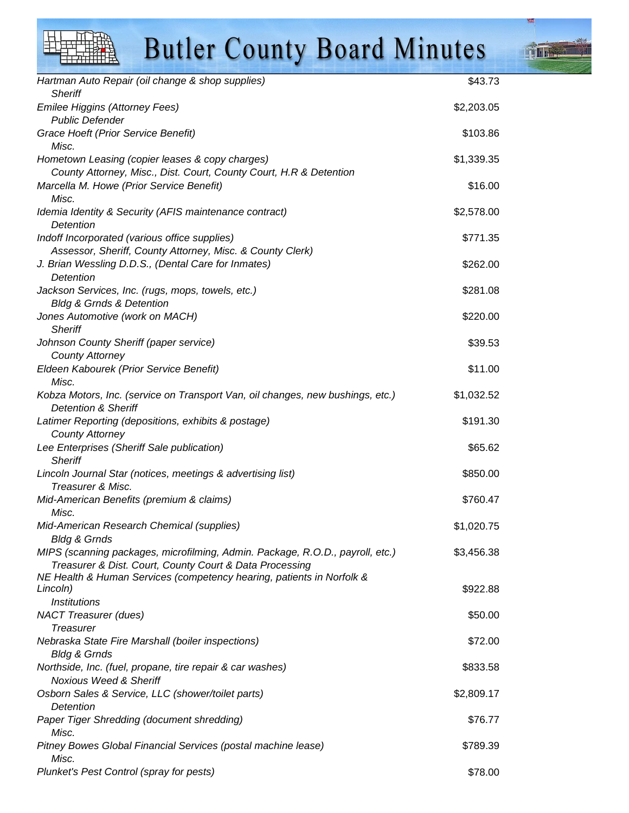**Tillet** 

| Hartman Auto Repair (oil change & shop supplies)                                                                                         | \$43.73    |
|------------------------------------------------------------------------------------------------------------------------------------------|------------|
| <b>Sheriff</b>                                                                                                                           |            |
| Emilee Higgins (Attorney Fees)<br><b>Public Defender</b>                                                                                 | \$2,203.05 |
| Grace Hoeft (Prior Service Benefit)<br>Misc.                                                                                             | \$103.86   |
| Hometown Leasing (copier leases & copy charges)                                                                                          | \$1,339.35 |
| County Attorney, Misc., Dist. Court, County Court, H.R & Detention                                                                       |            |
| Marcella M. Howe (Prior Service Benefit)<br>Misc.                                                                                        | \$16.00    |
| Idemia Identity & Security (AFIS maintenance contract)<br>Detention                                                                      | \$2,578.00 |
| Indoff Incorporated (various office supplies)<br>Assessor, Sheriff, County Attorney, Misc. & County Clerk)                               | \$771.35   |
| J. Brian Wessling D.D.S., (Dental Care for Inmates)                                                                                      | \$262.00   |
| <b>Detention</b>                                                                                                                         |            |
| Jackson Services, Inc. (rugs, mops, towels, etc.)                                                                                        | \$281.08   |
| <b>Bldg &amp; Grnds &amp; Detention</b>                                                                                                  |            |
| Jones Automotive (work on MACH)<br><b>Sheriff</b>                                                                                        | \$220.00   |
| Johnson County Sheriff (paper service)                                                                                                   | \$39.53    |
| <b>County Attorney</b>                                                                                                                   |            |
| Eldeen Kabourek (Prior Service Benefit)                                                                                                  | \$11.00    |
| Misc.                                                                                                                                    |            |
| Kobza Motors, Inc. (service on Transport Van, oil changes, new bushings, etc.)<br><b>Detention &amp; Sheriff</b>                         | \$1,032.52 |
| Latimer Reporting (depositions, exhibits & postage)                                                                                      | \$191.30   |
| <b>County Attorney</b>                                                                                                                   |            |
| Lee Enterprises (Sheriff Sale publication)<br><b>Sheriff</b>                                                                             | \$65.62    |
| Lincoln Journal Star (notices, meetings & advertising list)<br>Treasurer & Misc.                                                         | \$850.00   |
| Mid-American Benefits (premium & claims)                                                                                                 | \$760.47   |
| Misc.                                                                                                                                    |            |
| Mid-American Research Chemical (supplies)                                                                                                | \$1,020.75 |
| <b>Bldg &amp; Grnds</b>                                                                                                                  |            |
| MIPS (scanning packages, microfilming, Admin. Package, R.O.D., payroll, etc.)<br>Treasurer & Dist. Court, County Court & Data Processing | \$3,456.38 |
| NE Health & Human Services (competency hearing, patients in Norfolk &                                                                    |            |
| Lincoln)<br><b>Institutions</b>                                                                                                          | \$922.88   |
| <b>NACT Treasurer (dues)</b>                                                                                                             | \$50.00    |
| <b>Treasurer</b>                                                                                                                         |            |
| Nebraska State Fire Marshall (boiler inspections)                                                                                        | \$72.00    |
| <b>Bldg &amp; Grnds</b>                                                                                                                  |            |
| Northside, Inc. (fuel, propane, tire repair & car washes)<br><b>Noxious Weed &amp; Sheriff</b>                                           | \$833.58   |
| Osborn Sales & Service, LLC (shower/toilet parts)<br>Detention                                                                           | \$2,809.17 |
| Paper Tiger Shredding (document shredding)                                                                                               | \$76.77    |
| Misc.                                                                                                                                    |            |
| Pitney Bowes Global Financial Services (postal machine lease)<br>Misc.                                                                   | \$789.39   |
| Plunket's Pest Control (spray for pests)                                                                                                 | \$78.00    |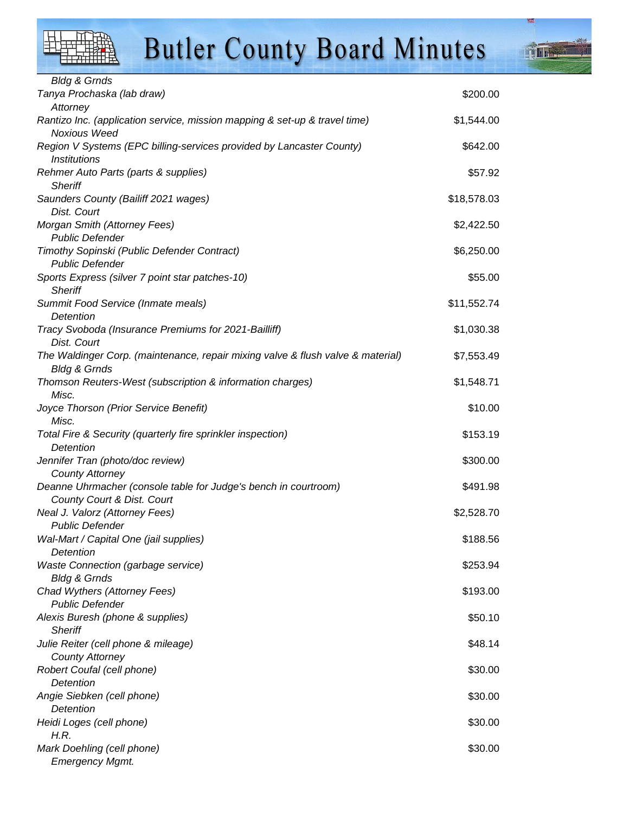

**THE E** 

| <b>Bldg &amp; Grnds</b>                                                         |             |
|---------------------------------------------------------------------------------|-------------|
| Tanya Prochaska (lab draw)                                                      | \$200.00    |
| Attorney                                                                        |             |
| Rantizo Inc. (application service, mission mapping & set-up & travel time)      | \$1,544.00  |
| <b>Noxious Weed</b>                                                             |             |
| Region V Systems (EPC billing-services provided by Lancaster County)            | \$642.00    |
| <i><b>Institutions</b></i>                                                      |             |
| Rehmer Auto Parts (parts & supplies)                                            | \$57.92     |
| <b>Sheriff</b>                                                                  |             |
| Saunders County (Bailiff 2021 wages)                                            | \$18,578.03 |
| Dist. Court                                                                     |             |
| Morgan Smith (Attorney Fees)                                                    | \$2,422.50  |
| <b>Public Defender</b>                                                          |             |
| Timothy Sopinski (Public Defender Contract)                                     | \$6,250.00  |
| <b>Public Defender</b>                                                          |             |
| Sports Express (silver 7 point star patches-10)                                 | \$55.00     |
| <b>Sheriff</b>                                                                  |             |
| Summit Food Service (Inmate meals)                                              | \$11,552.74 |
| Detention                                                                       |             |
| Tracy Svoboda (Insurance Premiums for 2021-Bailliff)                            | \$1,030.38  |
| Dist. Court                                                                     |             |
| The Waldinger Corp. (maintenance, repair mixing valve & flush valve & material) | \$7,553.49  |
| <b>Bldg &amp; Grnds</b>                                                         |             |
| Thomson Reuters-West (subscription & information charges)                       | \$1,548.71  |
| Misc.                                                                           |             |
| Joyce Thorson (Prior Service Benefit)                                           | \$10.00     |
| Misc.                                                                           |             |
| Total Fire & Security (quarterly fire sprinkler inspection)                     | \$153.19    |
| Detention                                                                       |             |
| Jennifer Tran (photo/doc review)                                                | \$300.00    |
| <b>County Attorney</b>                                                          |             |
| Deanne Uhrmacher (console table for Judge's bench in courtroom)                 | \$491.98    |
| County Court & Dist. Court<br>Neal J. Valorz (Attorney Fees)                    |             |
| <b>Public Defender</b>                                                          | \$2,528.70  |
|                                                                                 | \$188.56    |
| Wal-Mart / Capital One (jail supplies)<br>Detention                             |             |
| <b>Waste Connection (garbage service)</b>                                       | \$253.94    |
| <b>Bldg &amp; Grnds</b>                                                         |             |
| Chad Wythers (Attorney Fees)                                                    | \$193.00    |
| <b>Public Defender</b>                                                          |             |
| Alexis Buresh (phone & supplies)                                                | \$50.10     |
| <b>Sheriff</b>                                                                  |             |
| Julie Reiter (cell phone & mileage)                                             | \$48.14     |
| <b>County Attorney</b>                                                          |             |
| Robert Coufal (cell phone)                                                      | \$30.00     |
| Detention                                                                       |             |
| Angie Siebken (cell phone)                                                      | \$30.00     |
| Detention                                                                       |             |
| Heidi Loges (cell phone)                                                        | \$30.00     |
| H.R.                                                                            |             |
| Mark Doehling (cell phone)                                                      | \$30.00     |
| <b>Emergency Mgmt.</b>                                                          |             |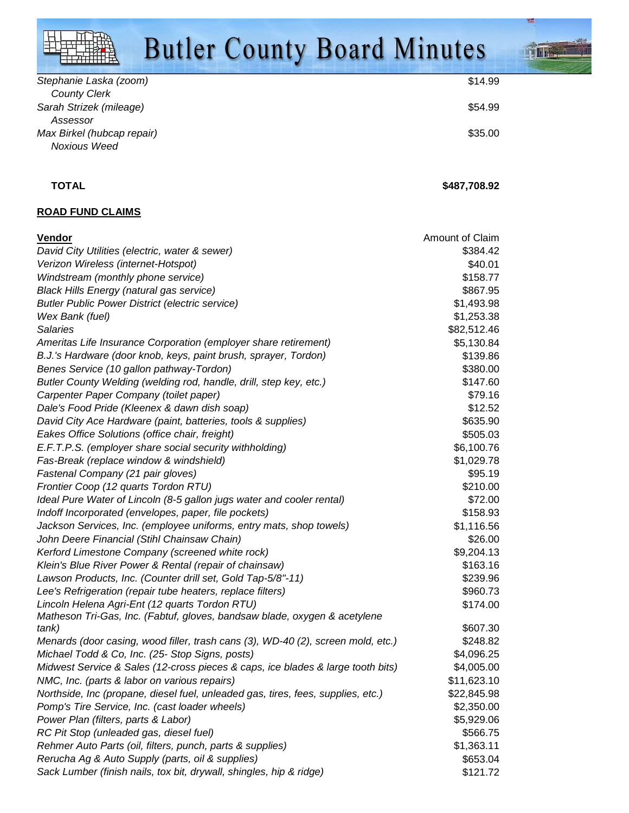| Stephanie Laska (zoom)     | \$14.99 |
|----------------------------|---------|
| <b>County Clerk</b>        |         |
| Sarah Strizek (mileage)    | \$54.99 |
| Assessor                   |         |
| Max Birkel (hubcap repair) | \$35.00 |
| Noxious Weed               |         |

#### **TOTAL** \$487,708.92

#### **ROAD FUND CLAIMS**

| <b>Vendor</b>                                                                    | Amount of Claim |
|----------------------------------------------------------------------------------|-----------------|
| David City Utilities (electric, water & sewer)                                   | \$384.42        |
| Verizon Wireless (internet-Hotspot)                                              | \$40.01         |
| Windstream (monthly phone service)                                               | \$158.77        |
| <b>Black Hills Energy (natural gas service)</b>                                  | \$867.95        |
| <b>Butler Public Power District (electric service)</b>                           | \$1,493.98      |
| Wex Bank (fuel)                                                                  | \$1,253.38      |
| <b>Salaries</b>                                                                  | \$82,512.46     |
| Ameritas Life Insurance Corporation (employer share retirement)                  | \$5,130.84      |
| B.J.'s Hardware (door knob, keys, paint brush, sprayer, Tordon)                  | \$139.86        |
| Benes Service (10 gallon pathway-Tordon)                                         | \$380.00        |
| Butler County Welding (welding rod, handle, drill, step key, etc.)               | \$147.60        |
| Carpenter Paper Company (toilet paper)                                           | \$79.16         |
| Dale's Food Pride (Kleenex & dawn dish soap)                                     | \$12.52         |
| David City Ace Hardware (paint, batteries, tools & supplies)                     | \$635.90        |
| Eakes Office Solutions (office chair, freight)                                   | \$505.03        |
| E.F.T.P.S. (employer share social security withholding)                          | \$6,100.76      |
| Fas-Break (replace window & windshield)                                          | \$1,029.78      |
| Fastenal Company (21 pair gloves)                                                | \$95.19         |
| Frontier Coop (12 quarts Tordon RTU)                                             | \$210.00        |
| Ideal Pure Water of Lincoln (8-5 gallon jugs water and cooler rental)            | \$72.00         |
| Indoff Incorporated (envelopes, paper, file pockets)                             | \$158.93        |
| Jackson Services, Inc. (employee uniforms, entry mats, shop towels)              | \$1,116.56      |
| John Deere Financial (Stihl Chainsaw Chain)                                      | \$26.00         |
| Kerford Limestone Company (screened white rock)                                  | \$9,204.13      |
| Klein's Blue River Power & Rental (repair of chainsaw)                           | \$163.16        |
| Lawson Products, Inc. (Counter drill set, Gold Tap-5/8"-11)                      | \$239.96        |
| Lee's Refrigeration (repair tube heaters, replace filters)                       | \$960.73        |
| Lincoln Helena Agri-Ent (12 quarts Tordon RTU)                                   | \$174.00        |
| Matheson Tri-Gas, Inc. (Fabtuf, gloves, bandsaw blade, oxygen & acetylene        |                 |
| tank)                                                                            | \$607.30        |
| Menards (door casing, wood filler, trash cans (3), WD-40 (2), screen mold, etc.) | \$248.82        |
| Michael Todd & Co, Inc. (25- Stop Signs, posts)                                  | \$4,096.25      |
| Midwest Service & Sales (12-cross pieces & caps, ice blades & large tooth bits)  | \$4,005.00      |
| NMC, Inc. (parts & labor on various repairs)                                     | \$11,623.10     |
| Northside, Inc (propane, diesel fuel, unleaded gas, tires, fees, supplies, etc.) | \$22,845.98     |
| Pomp's Tire Service, Inc. (cast loader wheels)                                   | \$2,350.00      |
| Power Plan (filters, parts & Labor)                                              | \$5,929.06      |
| RC Pit Stop (unleaded gas, diesel fuel)                                          | \$566.75        |
| Rehmer Auto Parts (oil, filters, punch, parts & supplies)                        | \$1,363.11      |
| Rerucha Ag & Auto Supply (parts, oil & supplies)                                 | \$653.04        |
| Sack Lumber (finish nails, tox bit, drywall, shingles, hip & ridge)              | \$121.72        |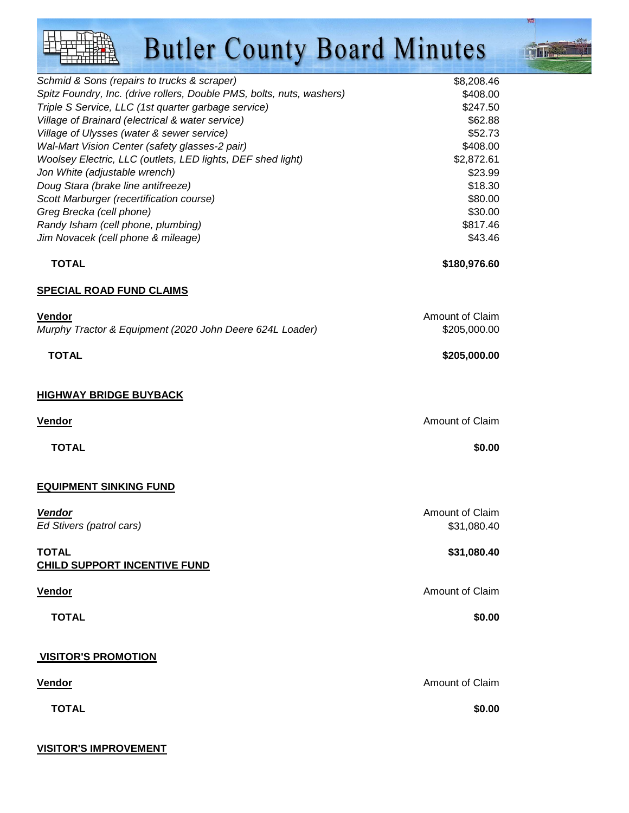| Schmid & Sons (repairs to trucks & scraper)                           | \$8,208.46 |
|-----------------------------------------------------------------------|------------|
| Spitz Foundry, Inc. (drive rollers, Double PMS, bolts, nuts, washers) | \$408.00   |
| Triple S Service, LLC (1st quarter garbage service)                   | \$247.50   |
| Village of Brainard (electrical & water service)                      | \$62.88    |
| Village of Ulysses (water & sewer service)                            | \$52.73    |
| Wal-Mart Vision Center (safety glasses-2 pair)                        | \$408.00   |
| Woolsey Electric, LLC (outlets, LED lights, DEF shed light)           | \$2,872.61 |
| Jon White (adjustable wrench)                                         | \$23.99    |
| Doug Stara (brake line antifreeze)                                    | \$18.30    |
| Scott Marburger (recertification course)                              | \$80.00    |
| Greg Brecka (cell phone)                                              | \$30.00    |
| Randy Isham (cell phone, plumbing)                                    | \$817.46   |
| Jim Novacek (cell phone & mileage)                                    | \$43.46    |

 **TOTAL \$180,976.60**

#### **SPECIAL ROAD FUND CLAIMS**

| <b>Vendor</b>                                            | Amount of Claim |
|----------------------------------------------------------|-----------------|
| Murphy Tractor & Equipment (2020 John Deere 624L Loader) | \$205,000.00    |
|                                                          |                 |
| <b>TOTAL</b>                                             | \$205,000.00    |
|                                                          |                 |
|                                                          |                 |

#### **HIGHWAY BRIDGE BUYBACK**

| Amount of Claim | <u>Vendor</u> |
|-----------------|---------------|
| \$0.00          | <b>TOTAL</b>  |
|                 |               |

#### **EQUIPMENT SINKING FUND**

**Vendor** Amount of Claim Ed Stivers (patrol cars)  $\sim$  531,080.40 **TOTAL** \$31,080.40 **CHILD SUPPORT INCENTIVE FUND Vendor Amount of Claim TOTAL \$0.00 VISITOR'S PROMOTION Vendor** Amount of Claim

 **TOTAL \$0.00**

### **VISITOR'S IMPROVEMENT**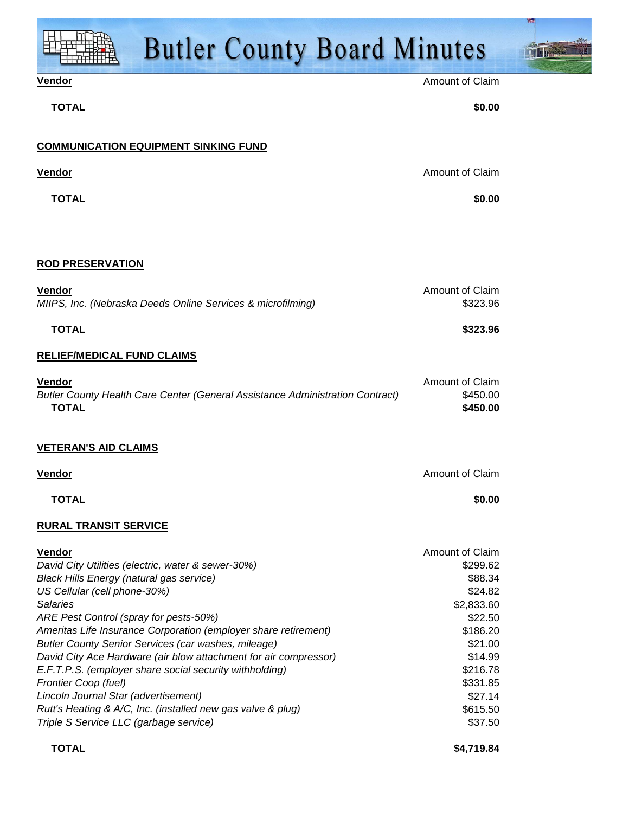| <b>Butler County Board Minutes</b>                                                                                                                                                                                                                                                                                                                                                                                                                                                                                                                                                                                                                           |                                                                                                                                                                        |  |
|--------------------------------------------------------------------------------------------------------------------------------------------------------------------------------------------------------------------------------------------------------------------------------------------------------------------------------------------------------------------------------------------------------------------------------------------------------------------------------------------------------------------------------------------------------------------------------------------------------------------------------------------------------------|------------------------------------------------------------------------------------------------------------------------------------------------------------------------|--|
| Vendor                                                                                                                                                                                                                                                                                                                                                                                                                                                                                                                                                                                                                                                       | <b>Amount of Claim</b>                                                                                                                                                 |  |
| <b>TOTAL</b>                                                                                                                                                                                                                                                                                                                                                                                                                                                                                                                                                                                                                                                 | \$0.00                                                                                                                                                                 |  |
| <b>COMMUNICATION EQUIPMENT SINKING FUND</b>                                                                                                                                                                                                                                                                                                                                                                                                                                                                                                                                                                                                                  |                                                                                                                                                                        |  |
| <b>Vendor</b>                                                                                                                                                                                                                                                                                                                                                                                                                                                                                                                                                                                                                                                | Amount of Claim                                                                                                                                                        |  |
| <b>TOTAL</b>                                                                                                                                                                                                                                                                                                                                                                                                                                                                                                                                                                                                                                                 | \$0.00                                                                                                                                                                 |  |
| <b>ROD PRESERVATION</b>                                                                                                                                                                                                                                                                                                                                                                                                                                                                                                                                                                                                                                      |                                                                                                                                                                        |  |
| Vendor<br>MIIPS, Inc. (Nebraska Deeds Online Services & microfilming)                                                                                                                                                                                                                                                                                                                                                                                                                                                                                                                                                                                        | Amount of Claim<br>\$323.96                                                                                                                                            |  |
| <b>TOTAL</b>                                                                                                                                                                                                                                                                                                                                                                                                                                                                                                                                                                                                                                                 | \$323.96                                                                                                                                                               |  |
| <b>RELIEF/MEDICAL FUND CLAIMS</b>                                                                                                                                                                                                                                                                                                                                                                                                                                                                                                                                                                                                                            |                                                                                                                                                                        |  |
| <b>Vendor</b><br>Butler County Health Care Center (General Assistance Administration Contract)<br><b>TOTAL</b>                                                                                                                                                                                                                                                                                                                                                                                                                                                                                                                                               | Amount of Claim<br>\$450.00<br>\$450.00                                                                                                                                |  |
| <b>VETERAN'S AID CLAIMS</b>                                                                                                                                                                                                                                                                                                                                                                                                                                                                                                                                                                                                                                  |                                                                                                                                                                        |  |
| <b>Vendor</b>                                                                                                                                                                                                                                                                                                                                                                                                                                                                                                                                                                                                                                                | Amount of Claim                                                                                                                                                        |  |
| <b>TOTAL</b>                                                                                                                                                                                                                                                                                                                                                                                                                                                                                                                                                                                                                                                 | \$0.00                                                                                                                                                                 |  |
| <b>RURAL TRANSIT SERVICE</b>                                                                                                                                                                                                                                                                                                                                                                                                                                                                                                                                                                                                                                 |                                                                                                                                                                        |  |
| <b>Vendor</b><br>David City Utilities (electric, water & sewer-30%)<br><b>Black Hills Energy (natural gas service)</b><br>US Cellular (cell phone-30%)<br><b>Salaries</b><br>ARE Pest Control (spray for pests-50%)<br>Ameritas Life Insurance Corporation (employer share retirement)<br><b>Butler County Senior Services (car washes, mileage)</b><br>David City Ace Hardware (air blow attachment for air compressor)<br>E.F.T.P.S. (employer share social security withholding)<br>Frontier Coop (fuel)<br>Lincoln Journal Star (advertisement)<br>Rutt's Heating & A/C, Inc. (installed new gas valve & plug)<br>Triple S Service LLC (garbage service) | Amount of Claim<br>\$299.62<br>\$88.34<br>\$24.82<br>\$2,833.60<br>\$22.50<br>\$186.20<br>\$21.00<br>\$14.99<br>\$216.78<br>\$331.85<br>\$27.14<br>\$615.50<br>\$37.50 |  |
| <b>TOTAL</b>                                                                                                                                                                                                                                                                                                                                                                                                                                                                                                                                                                                                                                                 | \$4,719.84                                                                                                                                                             |  |

鏧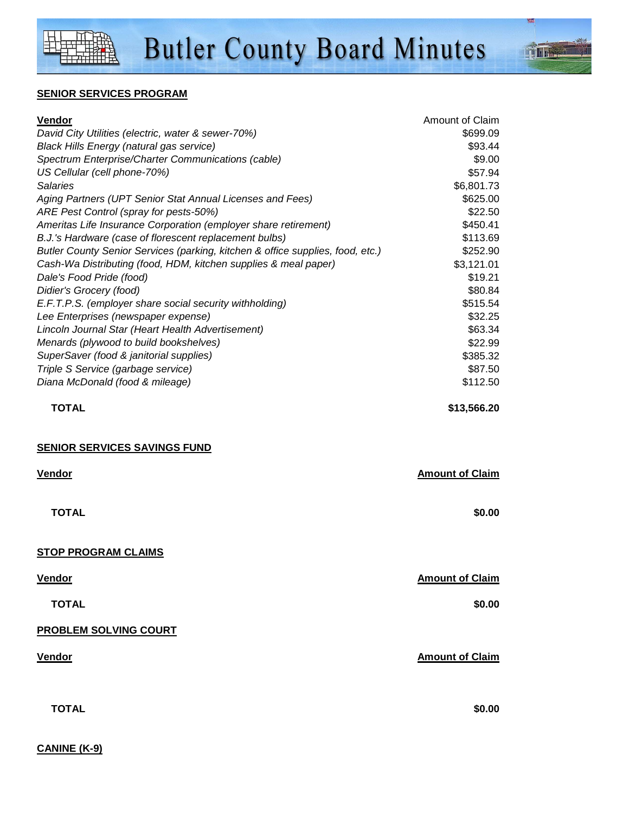**CANINE (K-9)**

#### **SENIOR SERVICES PROGRAM**

| <u>Vendor</u>                                                                                                                            | Amount of Claim        |
|------------------------------------------------------------------------------------------------------------------------------------------|------------------------|
| David City Utilities (electric, water & sewer-70%)                                                                                       | \$699.09               |
| <b>Black Hills Energy (natural gas service)</b>                                                                                          | \$93.44                |
| Spectrum Enterprise/Charter Communications (cable)                                                                                       | \$9.00                 |
| US Cellular (cell phone-70%)                                                                                                             | \$57.94                |
| <b>Salaries</b>                                                                                                                          | \$6,801.73             |
| Aging Partners (UPT Senior Stat Annual Licenses and Fees)                                                                                | \$625.00               |
| ARE Pest Control (spray for pests-50%)                                                                                                   | \$22.50                |
| Ameritas Life Insurance Corporation (employer share retirement)                                                                          | \$450.41<br>\$113.69   |
| B.J.'s Hardware (case of florescent replacement bulbs)<br>Butler County Senior Services (parking, kitchen & office supplies, food, etc.) | \$252.90               |
| Cash-Wa Distributing (food, HDM, kitchen supplies & meal paper)                                                                          | \$3,121.01             |
| Dale's Food Pride (food)                                                                                                                 | \$19.21                |
| Didier's Grocery (food)                                                                                                                  | \$80.84                |
| E.F.T.P.S. (employer share social security withholding)                                                                                  | \$515.54               |
| Lee Enterprises (newspaper expense)                                                                                                      | \$32.25                |
| Lincoln Journal Star (Heart Health Advertisement)                                                                                        | \$63.34                |
| Menards (plywood to build bookshelves)                                                                                                   | \$22.99                |
| SuperSaver (food & janitorial supplies)                                                                                                  | \$385.32               |
| Triple S Service (garbage service)                                                                                                       | \$87.50                |
| Diana McDonald (food & mileage)                                                                                                          | \$112.50               |
| <b>TOTAL</b>                                                                                                                             | \$13,566.20            |
| <b>SENIOR SERVICES SAVINGS FUND</b>                                                                                                      |                        |
| Vendor                                                                                                                                   | <b>Amount of Claim</b> |
|                                                                                                                                          |                        |
| <b>TOTAL</b>                                                                                                                             | \$0.00                 |
| <b>STOP PROGRAM CLAIMS</b>                                                                                                               |                        |
| <b>Vendor</b>                                                                                                                            | <b>Amount of Claim</b> |
|                                                                                                                                          | \$0.00                 |
| <b>TOTAL</b>                                                                                                                             |                        |
|                                                                                                                                          |                        |
| <b>PROBLEM SOLVING COURT</b>                                                                                                             |                        |
| <b>Vendor</b>                                                                                                                            | <b>Amount of Claim</b> |
| <b>TOTAL</b>                                                                                                                             | \$0.00                 |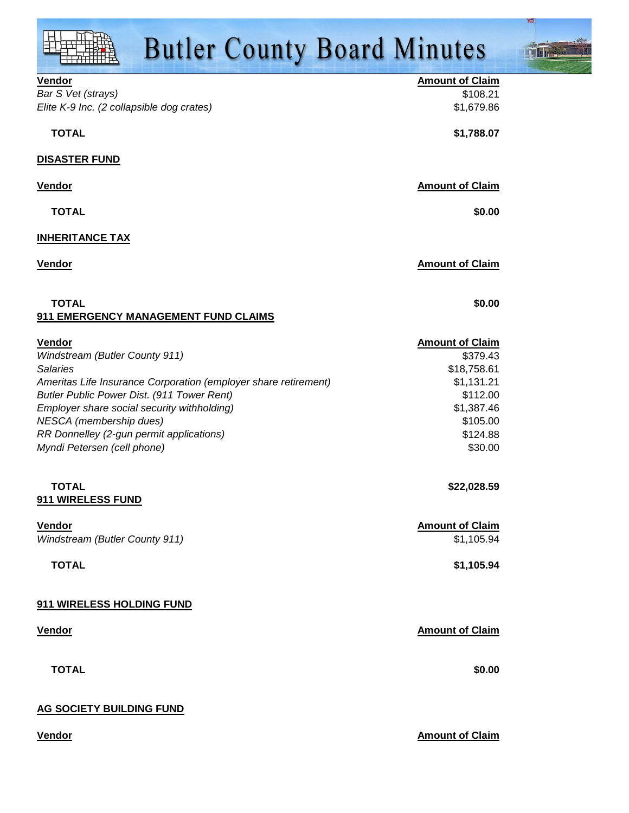**Vendor Amount of Claim** Bar S Vet (strays)  $\sim$  \$108.21 Elite K-9 Inc. (2 collapsible dog crates)  $$1,679.86$  **TOTAL \$1,788.07 DISASTER FUND Vendor Amount of Claim TOTAL \$0.00 INHERITANCE TAX Vendor Amount of Claim TOTAL \$0.00 911 EMERGENCY MANAGEMENT FUND CLAIMS Vendor Amount of Claim** Windstream (Butler County 911) \$379.43 Salaries \$18,758.61 Ameritas Life Insurance Corporation (employer share retirement)  $$1,131.21$ Butler Public Power Dist. (911 Tower Rent)  $$112.00$ Employer share social security withholding)  $$1,387.46$ NESCA (membership dues)  $$105.00$ RR Donnelley (2-gun permit applications)  $$124.88$ Myndi Petersen (cell phone) \$30.00  **TOTAL \$22,028.59 911 WIRELESS FUND Vendor Amount of Claim** Windstream (Butler County 911)  $$1,105.94$  **TOTAL \$1,105.94 911 WIRELESS HOLDING FUND Vendor Amount of Claim TOTAL \$0.00 AG SOCIETY BUILDING FUND**

**Vendor Amount of Claim Amount of Claim Amount of Claim Amount of Claim Amount of Claim**